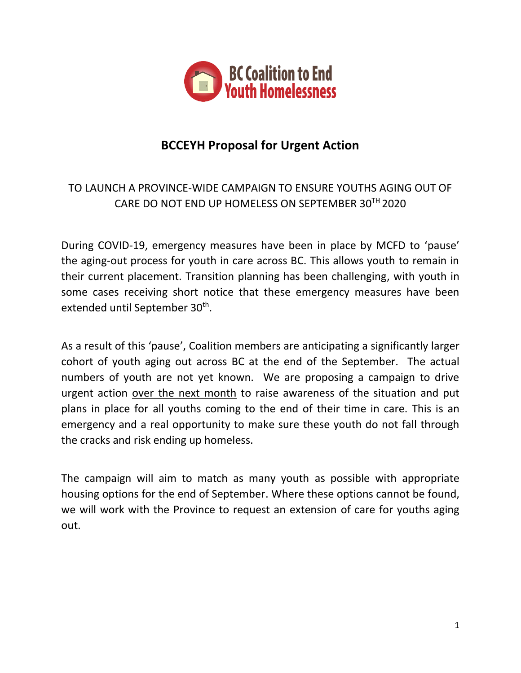

## **BCCEYH Proposal for Urgent Action**

## TO LAUNCH A PROVINCE-WIDE CAMPAIGN TO ENSURE YOUTHS AGING OUT OF CARE DO NOT END UP HOMELESS ON SEPTEMBER  $30^{TH}$  2020

During COVID-19, emergency measures have been in place by MCFD to 'pause' the aging-out process for youth in care across BC. This allows youth to remain in their current placement. Transition planning has been challenging, with youth in some cases receiving short notice that these emergency measures have been extended until September 30<sup>th</sup>.

As a result of this 'pause', Coalition members are anticipating a significantly larger cohort of youth aging out across BC at the end of the September. The actual numbers of youth are not yet known. We are proposing a campaign to drive urgent action over the next month to raise awareness of the situation and put plans in place for all youths coming to the end of their time in care. This is an emergency and a real opportunity to make sure these youth do not fall through the cracks and risk ending up homeless.

The campaign will aim to match as many youth as possible with appropriate housing options for the end of September. Where these options cannot be found, we will work with the Province to request an extension of care for youths aging out.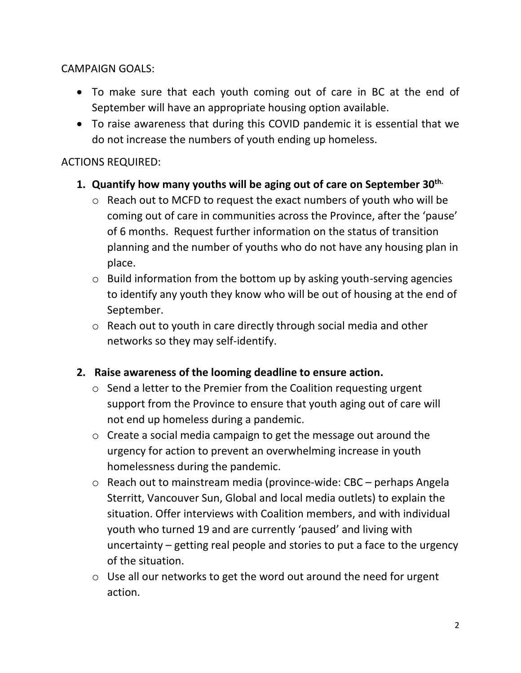CAMPAIGN GOALS:

- To make sure that each youth coming out of care in BC at the end of September will have an appropriate housing option available.
- To raise awareness that during this COVID pandemic it is essential that we do not increase the numbers of youth ending up homeless.

## ACTIONS REQUIRED:

- **1. Quantify how many youths will be aging out of care on September 30th.**
	- o Reach out to MCFD to request the exact numbers of youth who will be coming out of care in communities across the Province, after the 'pause' of 6 months. Request further information on the status of transition planning and the number of youths who do not have any housing plan in place.
	- o Build information from the bottom up by asking youth-serving agencies to identify any youth they know who will be out of housing at the end of September.
	- o Reach out to youth in care directly through social media and other networks so they may self-identify.
- **2. Raise awareness of the looming deadline to ensure action.**
	- o Send a letter to the Premier from the Coalition requesting urgent support from the Province to ensure that youth aging out of care will not end up homeless during a pandemic.
	- o Create a social media campaign to get the message out around the urgency for action to prevent an overwhelming increase in youth homelessness during the pandemic.
	- o Reach out to mainstream media (province-wide: CBC perhaps Angela Sterritt, Vancouver Sun, Global and local media outlets) to explain the situation. Offer interviews with Coalition members, and with individual youth who turned 19 and are currently 'paused' and living with uncertainty – getting real people and stories to put a face to the urgency of the situation.
	- o Use all our networks to get the word out around the need for urgent action.